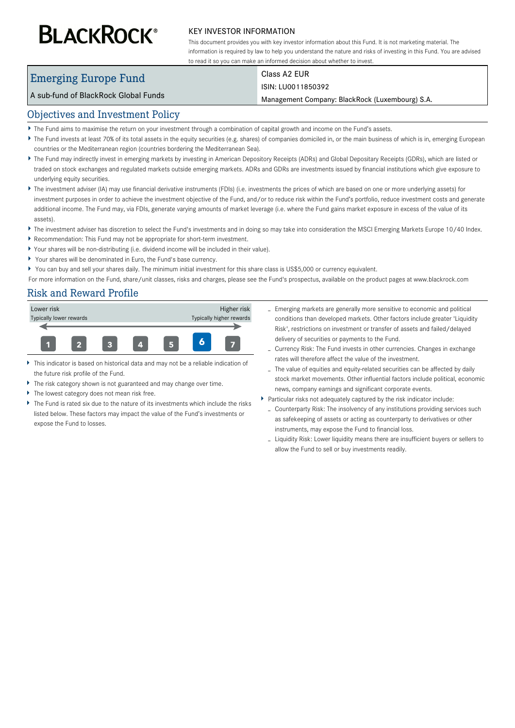# **BLACKROCK®**

#### KEY INVESTOR INFORMATION

This document provides you with key investor information about this Fund. It is not marketing material. The information is required by law to help you understand the nature and risks of investing in this Fund. You are advised to read it so you can make an informed decision about whether to invest.

## Emerging Europe Fund

### Class A2 EUR

#### A sub-fund of BlackRock Global Funds

ISIN: LU0011850392

Management Company: BlackRock (Luxembourg) S.A.

#### Objectives and Investment Policy

- The Fund aims to maximise the return on your investment through a combination of capital growth and income on the Fund's assets.
- ▶ The Fund invests at least 70% of its total assets in the equity securities (e.g. shares) of companies domiciled in, or the main business of which is in, emerging European countries or the Mediterranean region (countries bordering the Mediterranean Sea).
- ▶ The Fund may indirectly invest in emerging markets by investing in American Depository Receipts (ADRs) and Global Depositary Receipts (GDRs), which are listed or traded on stock exchanges and regulated markets outside emerging markets. ADRs and GDRs are investments issued by financial institutions which give exposure to underlying equity securities.
- ▶ The investment adviser (IA) may use financial derivative instruments (FDIs) (i.e. investments the prices of which are based on one or more underlying assets) for investment purposes in order to achieve the investment objective of the Fund, and/or to reduce risk within the Fund's portfolio, reduce investment costs and generate additional income. The Fund may, via FDIs, generate varying amounts of market leverage (i.e. where the Fund gains market exposure in excess of the value of its assets).
- ▶ The investment adviser has discretion to select the Fund's investments and in doing so may take into consideration the MSCI Emerging Markets Europe 10/40 Index.
- $\blacktriangleright$ Recommendation: This Fund may not be appropriate for short-term investment.
- Your shares will be non-distributing (i.e. dividend income will be included in their value).
- Your shares will be denominated in Euro, the Fund's base currency.
- You can buy and sell your shares daily. The minimum initial investment for this share class is US\$5,000 or currency equivalent.

For more information on the Fund, share/unit classes, risks and charges, please see the Fund's prospectus, available on the product pages at www.blackrock.com

#### Risk and Reward Profile



- This indicator is based on historical data and may not be a reliable indication of the future risk profile of the Fund.
- The risk category shown is not guaranteed and may change over time.
- The lowest category does not mean risk free.
- The Fund is rated six due to the nature of its investments which include the risks listed below. These factors may impact the value of the Fund's investments or expose the Fund to losses.
- Emerging markets are generally more sensitive to economic and political conditions than developed markets. Other factors include greater 'Liquidity Risk', restrictions on investment or transfer of assets and failed/delayed delivery of securities or payments to the Fund.
- Currency Risk: The Fund invests in other currencies. Changes in exchange rates will therefore affect the value of the investment.
- The value of equities and equity-related securities can be affected by daily stock market movements. Other influential factors include political, economic news, company earnings and significant corporate events.
- Particular risks not adequately captured by the risk indicator include:
	- Counterparty Risk: The insolvency of any institutions providing services such as safekeeping of assets or acting as counterparty to derivatives or other instruments, may expose the Fund to financial loss.
	- Liquidity Risk: Lower liquidity means there are insufficient buyers or sellers to allow the Fund to sell or buy investments readily.